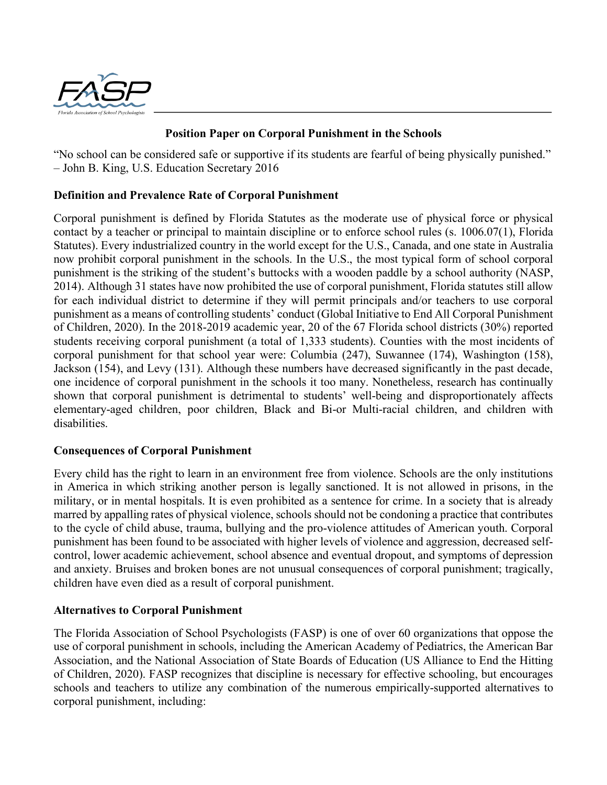

# **Position Paper on Corporal Punishment in the Schools**

"No school can be considered safe or supportive if its students are fearful of being physically punished." – John B. King, U.S. Education Secretary 2016

# **Definition and Prevalence Rate of Corporal Punishment**

Corporal punishment is defined by Florida Statutes as the moderate use of physical force or physical contact by a teacher or principal to maintain discipline or to enforce school rules (s. 1006.07(1), Florida Statutes). Every industrialized country in the world except for the U.S., Canada, and one state in Australia now prohibit corporal punishment in the schools. In the U.S., the most typical form of school corporal punishment is the striking of the student's buttocks with a wooden paddle by a school authority (NASP, 2014). Although 31 states have now prohibited the use of corporal punishment, Florida statutes still allow for each individual district to determine if they will permit principals and/or teachers to use corporal punishment as a means of controlling students' conduct (Global Initiative to End All Corporal Punishment of Children, 2020). In the 2018-2019 academic year, 20 of the 67 Florida school districts (30%) reported students receiving corporal punishment (a total of 1,333 students). Counties with the most incidents of corporal punishment for that school year were: Columbia (247), Suwannee (174), Washington (158), Jackson (154), and Levy (131). Although these numbers have decreased significantly in the past decade, one incidence of corporal punishment in the schools it too many. Nonetheless, research has continually shown that corporal punishment is detrimental to students' well-being and disproportionately affects elementary-aged children, poor children, Black and Bi-or Multi-racial children, and children with disabilities.

### **Consequences of Corporal Punishment**

Every child has the right to learn in an environment free from violence. Schools are the only institutions in America in which striking another person is legally sanctioned. It is not allowed in prisons, in the military, or in mental hospitals. It is even prohibited as a sentence for crime. In a society that is already marred by appalling rates of physical violence, schools should not be condoning a practice that contributes to the cycle of child abuse, trauma, bullying and the pro-violence attitudes of American youth. Corporal punishment has been found to be associated with higher levels of violence and aggression, decreased selfcontrol, lower academic achievement, school absence and eventual dropout, and symptoms of depression and anxiety. Bruises and broken bones are not unusual consequences of corporal punishment; tragically, children have even died as a result of corporal punishment.

### **Alternatives to Corporal Punishment**

The Florida Association of School Psychologists (FASP) is one of over 60 organizations that oppose the use of corporal punishment in schools, including the American Academy of Pediatrics, the American Bar Association, and the National Association of State Boards of Education (US Alliance to End the Hitting of Children, 2020). FASP recognizes that discipline is necessary for effective schooling, but encourages schools and teachers to utilize any combination of the numerous empirically-supported alternatives to corporal punishment, including: